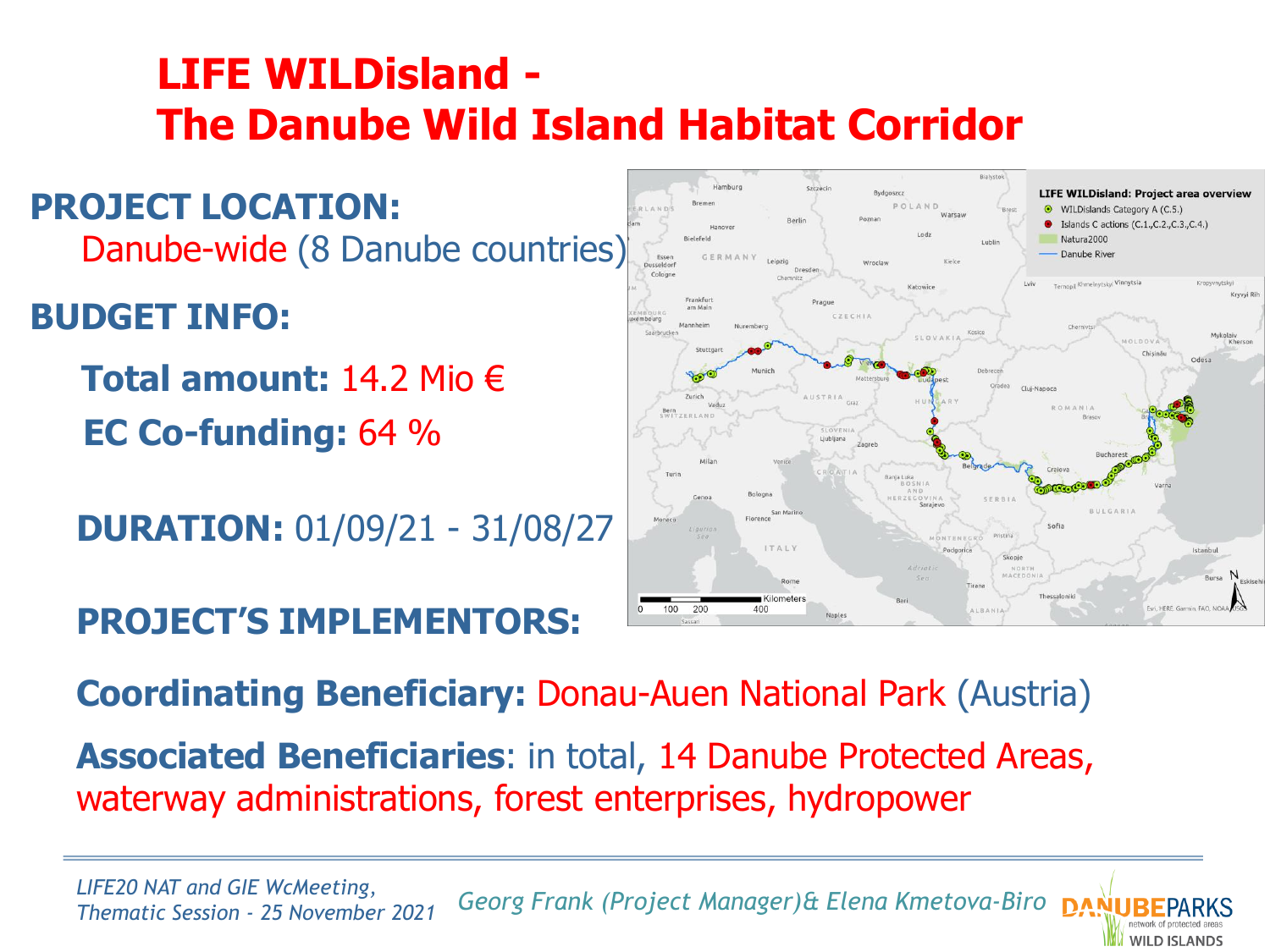### **LIFE WILDisland - The Danube Wild Island Habitat Corridor**

**PROJECT LOCATION:**  Danube-wide (8 Danube countries)

**BUDGET INFO:**

**Total amount:** 14.2 Mio € **EC Co-funding:** 64 %

**DURATION:** 01/09/21 - 31/08/27

**PROJECT'S IMPLEMENTORS:**



**WILD ISLANDS** 

#### **Coordinating Beneficiary:** Donau-Auen National Park (Austria)

**Associated Beneficiaries**: in total, 14 Danube Protected Areas, waterway administrations, forest enterprises, hydropower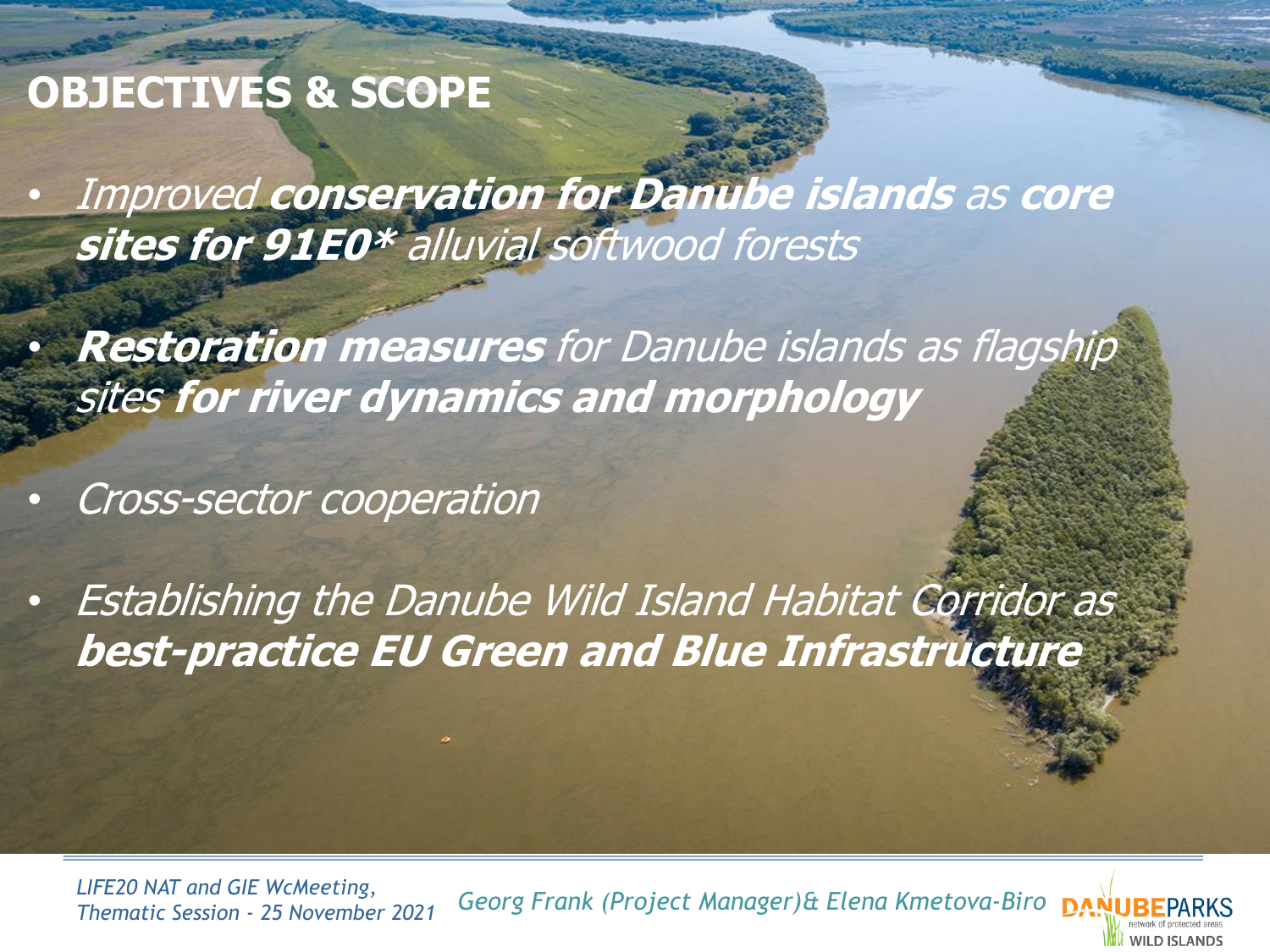# **OBJECTIVES & SCOPE**

• Improved **conservation for Danube islands** as **core sites for 91E0\*** alluvial softwood forests

• **Restoration measures** for Danube islands as flagship sites **for river dynamics and morphology**

• Cross-sector cooperation

• Establishing the Danube Wild Island Habitat Corridor as **best-practice EU Green and Blue Infrastructure**

LIFE20 NAT and GIE WcMeeting,<br>Thematic Session - 25 November 2021 Georg Frank (Project Manager)& Elena Kmetova-Biro **DANUBE**F

MII D ISI ANDS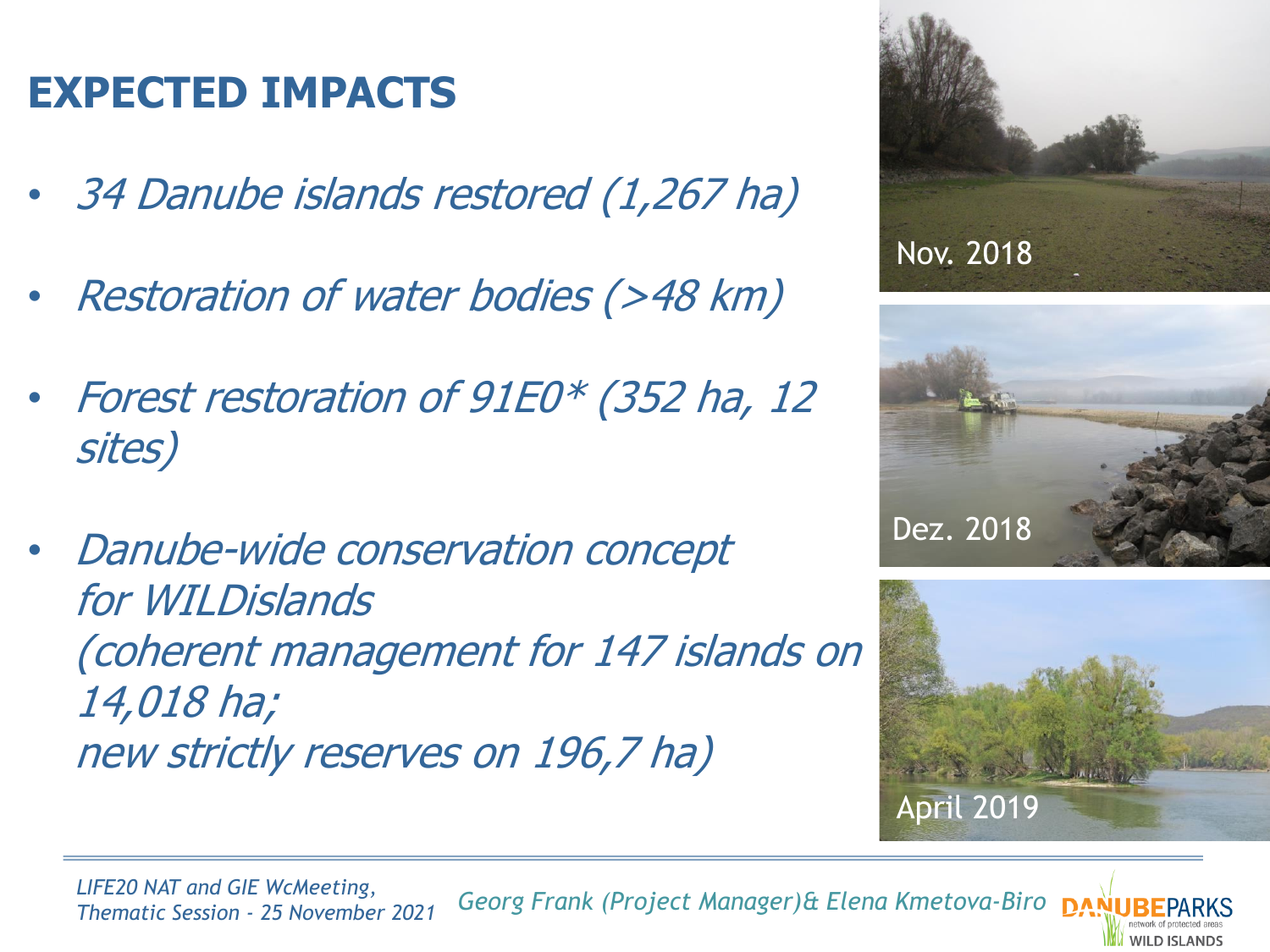# **EXPECTED IMPACTS**

- 34 Danube islands restored (1,267 ha)
- Restoration of water bodies (>48 km)
- Forest restoration of 91E0\* (352 ha, 12 sites)
- Danube-wide conservation concept for WILDislands (coherent management for 147 islands on 14,018 ha; new strictly reserves on 196,7 ha)







WILD ISLANDS